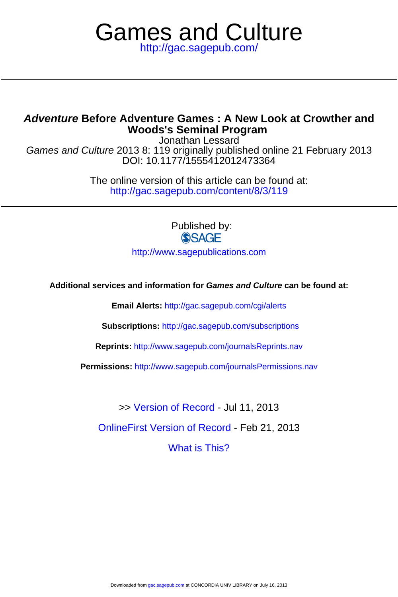# <http://gac.sagepub.com/> Games and Culture

# **Woods's Seminal Program Adventure Before Adventure Games : A New Look at Crowther and**

DOI: 10.1177/1555412012473364 Games and Culture 2013 8: 119 originally published online 21 February 2013 Jonathan Lessard

> <http://gac.sagepub.com/content/8/3/119> The online version of this article can be found at:

> > Published by: **SSAGE**

<http://www.sagepublications.com>

**Additional services and information for Games and Culture can be found at:**

**Email Alerts:** <http://gac.sagepub.com/cgi/alerts>

**Subscriptions:** <http://gac.sagepub.com/subscriptions>

**Reprints:** <http://www.sagepub.com/journalsReprints.nav>

**Permissions:** <http://www.sagepub.com/journalsPermissions.nav>

>> [Version of Record -](http://gac.sagepub.com/content/8/3/119.full.pdf) Jul 11, 2013

[OnlineFirst Version of Record -](http://gac.sagepub.com/content/early/2013/01/15/1555412012473364.full.pdf) Feb 21, 2013

[What is This?](http://online.sagepub.com/site/sphelp/vorhelp.xhtml)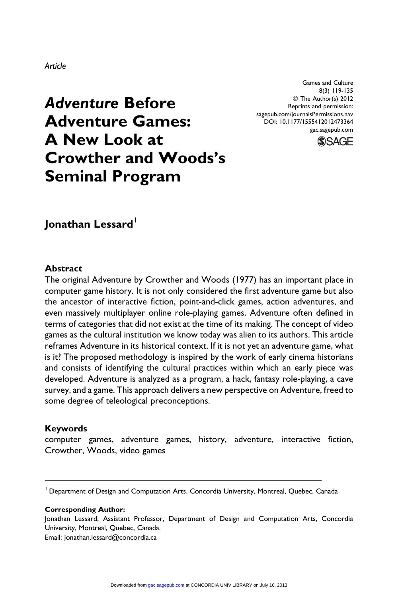Games and Culture 8(3) 119-135 © The Author(s) 2012 Reprints and permission: [sagepub.com/journalsPermissions.nav](http://www.sagepub.com/journalsPermissions.nav) DOI: 10.1177/1555412012473364 [gac.sagepub.com](http://gac.sagepub.com)



# Adventure Before Adventure Games: A New Look at Crowther and Woods's Seminal Program

Ionathan Lessard<sup>1</sup>

#### Abstract

The original Adventure by Crowther and Woods (1977) has an important place in computer game history. It is not only considered the first adventure game but also the ancestor of interactive fiction, point-and-click games, action adventures, and even massively multiplayer online role-playing games. Adventure often defined in terms of categories that did not exist at the time of its making. The concept of video games as the cultural institution we know today was alien to its authors. This article reframes Adventure in its historical context. If it is not yet an adventure game, what is it? The proposed methodology is inspired by the work of early cinema historians and consists of identifying the cultural practices within which an early piece was developed. Adventure is analyzed as a program, a hack, fantasy role-playing, a cave survey, and a game. This approach delivers a new perspective on Adventure, freed to some degree of teleological preconceptions.

#### Keywords

computer games, adventure games, history, adventure, interactive fiction, Crowther, Woods, video games

#### Corresponding Author:

Jonathan Lessard, Assistant Professor, Department of Design and Computation Arts, Concordia University, Montreal, Quebec, Canada. Email: jonathan.lessard@concordia.ca

<sup>1</sup> Department of Design and Computation Arts, Concordia University, Montreal, Quebec, Canada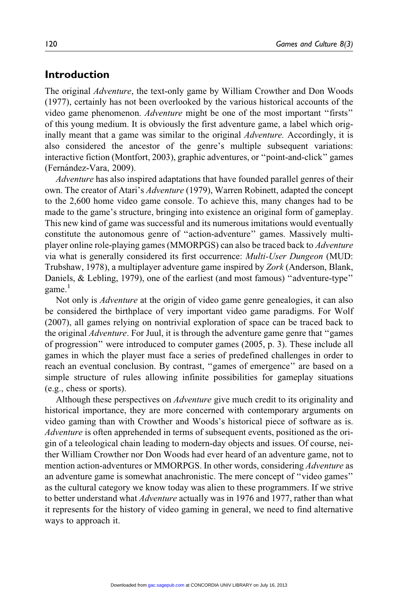## Introduction

The original Adventure, the text-only game by William Crowther and Don Woods (1977), certainly has not been overlooked by the various historical accounts of the video game phenomenon. Adventure might be one of the most important ''firsts'' of this young medium. It is obviously the first adventure game, a label which originally meant that a game was similar to the original Adventure. Accordingly, it is also considered the ancestor of the genre's multiple subsequent variations: interactive fiction (Montfort, 2003), graphic adventures, or ''point-and-click'' games (Fernández-Vara, 2009).

Adventure has also inspired adaptations that have founded parallel genres of their own. The creator of Atari's Adventure (1979), Warren Robinett, adapted the concept to the 2,600 home video game console. To achieve this, many changes had to be made to the game's structure, bringing into existence an original form of gameplay. This new kind of game was successful and its numerous imitations would eventually constitute the autonomous genre of ''action-adventure'' games. Massively multiplayer online role-playing games (MMORPGS) can also be traced back to Adventure via what is generally considered its first occurrence: Multi-User Dungeon (MUD: Trubshaw, 1978), a multiplayer adventure game inspired by Zork (Anderson, Blank, Daniels, & Lebling, 1979), one of the earliest (and most famous) ''adventure-type'' game.

Not only is Adventure at the origin of video game genre genealogies, it can also be considered the birthplace of very important video game paradigms. For Wolf (2007), all games relying on nontrivial exploration of space can be traced back to the original Adventure. For Juul, it is through the adventure game genre that ''games of progression'' were introduced to computer games (2005, p. 3). These include all games in which the player must face a series of predefined challenges in order to reach an eventual conclusion. By contrast, ''games of emergence'' are based on a simple structure of rules allowing infinite possibilities for gameplay situations (e.g., chess or sports).

Although these perspectives on *Adventure* give much credit to its originality and historical importance, they are more concerned with contemporary arguments on video gaming than with Crowther and Woods's historical piece of software as is. Adventure is often apprehended in terms of subsequent events, positioned as the origin of a teleological chain leading to modern-day objects and issues. Of course, neither William Crowther nor Don Woods had ever heard of an adventure game, not to mention action-adventures or MMORPGS. In other words, considering Adventure as an adventure game is somewhat anachronistic. The mere concept of ''video games'' as the cultural category we know today was alien to these programmers. If we strive to better understand what *Adventure* actually was in 1976 and 1977, rather than what it represents for the history of video gaming in general, we need to find alternative ways to approach it.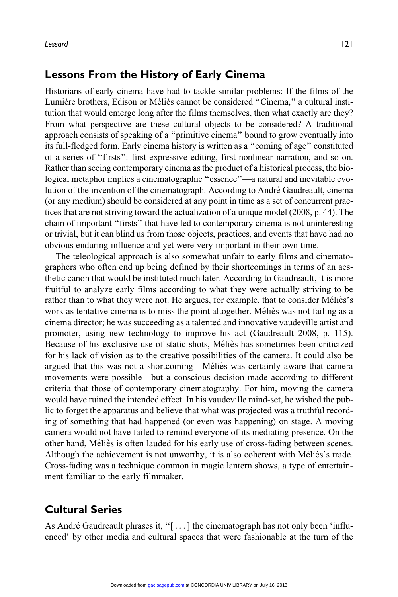## Lessons From the History of Early Cinema

Historians of early cinema have had to tackle similar problems: If the films of the Lumière brothers, Edison or Méliès cannot be considered "Cinema," a cultural institution that would emerge long after the films themselves, then what exactly are they? From what perspective are these cultural objects to be considered? A traditional approach consists of speaking of a ''primitive cinema'' bound to grow eventually into its full-fledged form. Early cinema history is written as a ''coming of age'' constituted of a series of ''firsts'': first expressive editing, first nonlinear narration, and so on. Rather than seeing contemporary cinema as the product of a historical process, the biological metaphor implies a cinematographic ''essence''—a natural and inevitable evolution of the invention of the cinematograph. According to André Gaudreault, cinema (or any medium) should be considered at any point in time as a set of concurrent practices that are not striving toward the actualization of a unique model (2008, p. 44). The chain of important ''firsts'' that have led to contemporary cinema is not uninteresting or trivial, but it can blind us from those objects, practices, and events that have had no obvious enduring influence and yet were very important in their own time.

The teleological approach is also somewhat unfair to early films and cinematographers who often end up being defined by their shortcomings in terms of an aesthetic canon that would be instituted much later. According to Gaudreault, it is more fruitful to analyze early films according to what they were actually striving to be rather than to what they were not. He argues, for example, that to consider Méliès's work as tentative cinema is to miss the point altogether. Méliès was not failing as a cinema director; he was succeeding as a talented and innovative vaudeville artist and promoter, using new technology to improve his act (Gaudreault 2008, p. 115). Because of his exclusive use of static shots, Méliès has sometimes been criticized for his lack of vision as to the creative possibilities of the camera. It could also be argued that this was not a shortcoming—Méliès was certainly aware that camera movements were possible—but a conscious decision made according to different criteria that those of contemporary cinematography. For him, moving the camera would have ruined the intended effect. In his vaudeville mind-set, he wished the public to forget the apparatus and believe that what was projected was a truthful recording of something that had happened (or even was happening) on stage. A moving camera would not have failed to remind everyone of its mediating presence. On the other hand, Méliès is often lauded for his early use of cross-fading between scenes. Although the achievement is not unworthy, it is also coherent with Méliès's trade. Cross-fading was a technique common in magic lantern shows, a type of entertainment familiar to the early filmmaker.

## Cultural Series

As André Gaudreault phrases it, " $[\ldots]$  the cinematograph has not only been 'influenced' by other media and cultural spaces that were fashionable at the turn of the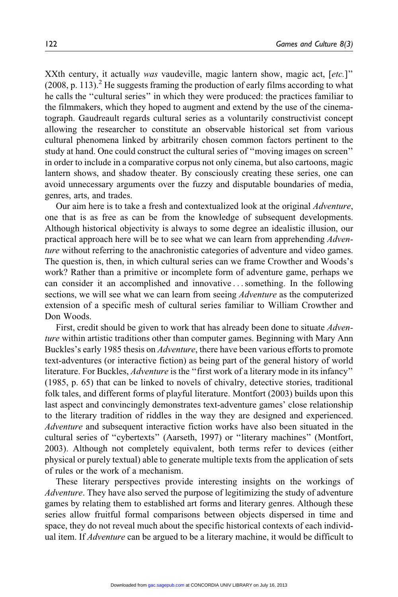XXth century, it actually *was* vaudeville, magic lantern show, magic act, [etc.]"  $(2008, p. 113).$ <sup>2</sup> He suggests framing the production of early films according to what he calls the ''cultural series'' in which they were produced: the practices familiar to the filmmakers, which they hoped to augment and extend by the use of the cinematograph. Gaudreault regards cultural series as a voluntarily constructivist concept allowing the researcher to constitute an observable historical set from various cultural phenomena linked by arbitrarily chosen common factors pertinent to the study at hand. One could construct the cultural series of ''moving images on screen'' in order to include in a comparative corpus not only cinema, but also cartoons, magic lantern shows, and shadow theater. By consciously creating these series, one can avoid unnecessary arguments over the fuzzy and disputable boundaries of media, genres, arts, and trades.

Our aim here is to take a fresh and contextualized look at the original *Adventure*, one that is as free as can be from the knowledge of subsequent developments. Although historical objectivity is always to some degree an idealistic illusion, our practical approach here will be to see what we can learn from apprehending Adventure without referring to the anachronistic categories of adventure and video games. The question is, then, in which cultural series can we frame Crowther and Woods's work? Rather than a primitive or incomplete form of adventure game, perhaps we can consider it an accomplished and innovative ...something. In the following sections, we will see what we can learn from seeing Adventure as the computerized extension of a specific mesh of cultural series familiar to William Crowther and Don Woods.

First, credit should be given to work that has already been done to situate *Adven*ture within artistic traditions other than computer games. Beginning with Mary Ann Buckles's early 1985 thesis on *Adventure*, there have been various efforts to promote text-adventures (or interactive fiction) as being part of the general history of world literature. For Buckles, *Adventure* is the "first work of a literary mode in its infancy" (1985, p. 65) that can be linked to novels of chivalry, detective stories, traditional folk tales, and different forms of playful literature. Montfort (2003) builds upon this last aspect and convincingly demonstrates text-adventure games' close relationship to the literary tradition of riddles in the way they are designed and experienced. Adventure and subsequent interactive fiction works have also been situated in the cultural series of ''cybertexts'' (Aarseth, 1997) or ''literary machines'' (Montfort, 2003). Although not completely equivalent, both terms refer to devices (either physical or purely textual) able to generate multiple texts from the application of sets of rules or the work of a mechanism.

These literary perspectives provide interesting insights on the workings of Adventure. They have also served the purpose of legitimizing the study of adventure games by relating them to established art forms and literary genres. Although these series allow fruitful formal comparisons between objects dispersed in time and space, they do not reveal much about the specific historical contexts of each individual item. If *Adventure* can be argued to be a literary machine, it would be difficult to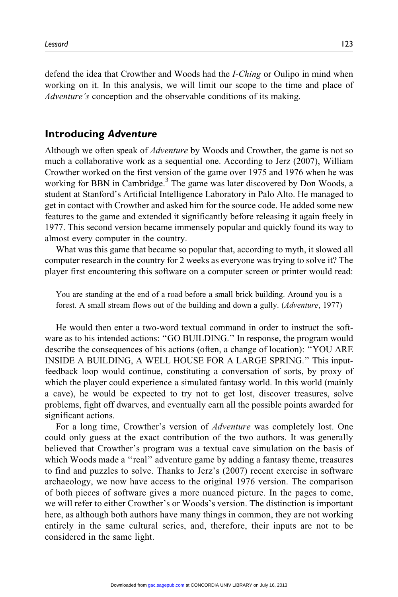defend the idea that Crowther and Woods had the I-Ching or Oulipo in mind when working on it. In this analysis, we will limit our scope to the time and place of Adventure's conception and the observable conditions of its making.

### Introducing Adventure

Although we often speak of Adventure by Woods and Crowther, the game is not so much a collaborative work as a sequential one. According to Jerz (2007), William Crowther worked on the first version of the game over 1975 and 1976 when he was working for BBN in Cambridge.<sup>3</sup> The game was later discovered by Don Woods, a student at Stanford's Artificial Intelligence Laboratory in Palo Alto. He managed to get in contact with Crowther and asked him for the source code. He added some new features to the game and extended it significantly before releasing it again freely in 1977. This second version became immensely popular and quickly found its way to almost every computer in the country.

What was this game that became so popular that, according to myth, it slowed all computer research in the country for 2 weeks as everyone was trying to solve it? The player first encountering this software on a computer screen or printer would read:

You are standing at the end of a road before a small brick building. Around you is a forest. A small stream flows out of the building and down a gully. (Adventure, 1977)

He would then enter a two-word textual command in order to instruct the software as to his intended actions: ''GO BUILDING.'' In response, the program would describe the consequences of his actions (often, a change of location): ''YOU ARE INSIDE A BUILDING, A WELL HOUSE FOR A LARGE SPRING.'' This inputfeedback loop would continue, constituting a conversation of sorts, by proxy of which the player could experience a simulated fantasy world. In this world (mainly a cave), he would be expected to try not to get lost, discover treasures, solve problems, fight off dwarves, and eventually earn all the possible points awarded for significant actions.

For a long time, Crowther's version of *Adventure* was completely lost. One could only guess at the exact contribution of the two authors. It was generally believed that Crowther's program was a textual cave simulation on the basis of which Woods made a "real" adventure game by adding a fantasy theme, treasures to find and puzzles to solve. Thanks to Jerz's (2007) recent exercise in software archaeology, we now have access to the original 1976 version. The comparison of both pieces of software gives a more nuanced picture. In the pages to come, we will refer to either Crowther's or Woods's version. The distinction is important here, as although both authors have many things in common, they are not working entirely in the same cultural series, and, therefore, their inputs are not to be considered in the same light.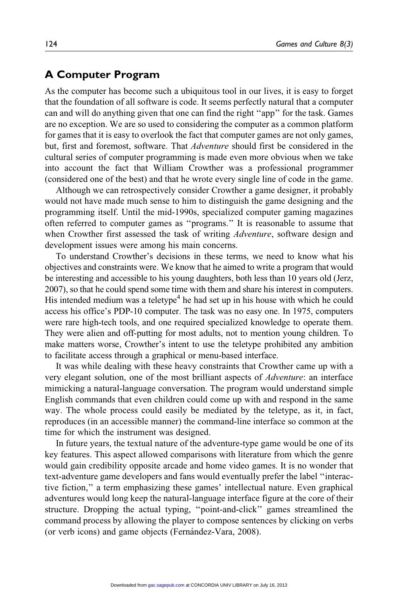## A Computer Program

As the computer has become such a ubiquitous tool in our lives, it is easy to forget that the foundation of all software is code. It seems perfectly natural that a computer can and will do anything given that one can find the right ''app'' for the task. Games are no exception. We are so used to considering the computer as a common platform for games that it is easy to overlook the fact that computer games are not only games, but, first and foremost, software. That Adventure should first be considered in the cultural series of computer programming is made even more obvious when we take into account the fact that William Crowther was a professional programmer (considered one of the best) and that he wrote every single line of code in the game.

Although we can retrospectively consider Crowther a game designer, it probably would not have made much sense to him to distinguish the game designing and the programming itself. Until the mid-1990s, specialized computer gaming magazines often referred to computer games as ''programs.'' It is reasonable to assume that when Crowther first assessed the task of writing *Adventure*, software design and development issues were among his main concerns.

To understand Crowther's decisions in these terms, we need to know what his objectives and constraints were. We know that he aimed to write a program that would be interesting and accessible to his young daughters, both less than 10 years old (Jerz, 2007), so that he could spend some time with them and share his interest in computers. His intended medium was a teletype<sup>4</sup> he had set up in his house with which he could access his office's PDP-10 computer. The task was no easy one. In 1975, computers were rare high-tech tools, and one required specialized knowledge to operate them. They were alien and off-putting for most adults, not to mention young children. To make matters worse, Crowther's intent to use the teletype prohibited any ambition to facilitate access through a graphical or menu-based interface.

It was while dealing with these heavy constraints that Crowther came up with a very elegant solution, one of the most brilliant aspects of Adventure: an interface mimicking a natural-language conversation. The program would understand simple English commands that even children could come up with and respond in the same way. The whole process could easily be mediated by the teletype, as it, in fact, reproduces (in an accessible manner) the command-line interface so common at the time for which the instrument was designed.

In future years, the textual nature of the adventure-type game would be one of its key features. This aspect allowed comparisons with literature from which the genre would gain credibility opposite arcade and home video games. It is no wonder that text-adventure game developers and fans would eventually prefer the label ''interactive fiction,'' a term emphasizing these games' intellectual nature. Even graphical adventures would long keep the natural-language interface figure at the core of their structure. Dropping the actual typing, ''point-and-click'' games streamlined the command process by allowing the player to compose sentences by clicking on verbs (or verb icons) and game objects (Fernández-Vara, 2008).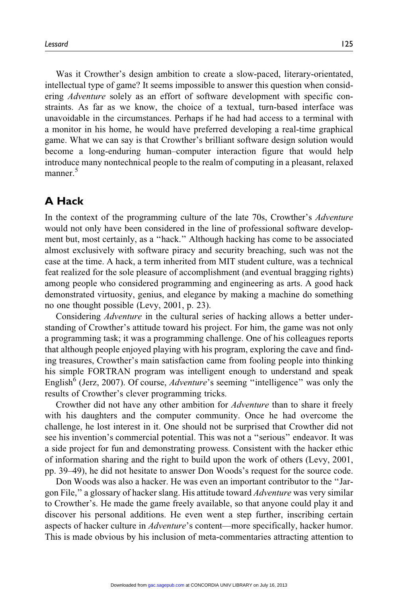Was it Crowther's design ambition to create a slow-paced, literary-orientated, intellectual type of game? It seems impossible to answer this question when considering *Adventure* solely as an effort of software development with specific constraints. As far as we know, the choice of a textual, turn-based interface was unavoidable in the circumstances. Perhaps if he had had access to a terminal with a monitor in his home, he would have preferred developing a real-time graphical game. What we can say is that Crowther's brilliant software design solution would become a long-enduring human–computer interaction figure that would help introduce many nontechnical people to the realm of computing in a pleasant, relaxed manner.<sup>5</sup>

## A Hack

In the context of the programming culture of the late 70s, Crowther's Adventure would not only have been considered in the line of professional software development but, most certainly, as a ''hack.'' Although hacking has come to be associated almost exclusively with software piracy and security breaching, such was not the case at the time. A hack, a term inherited from MIT student culture, was a technical feat realized for the sole pleasure of accomplishment (and eventual bragging rights) among people who considered programming and engineering as arts. A good hack demonstrated virtuosity, genius, and elegance by making a machine do something no one thought possible (Levy, 2001, p. 23).

Considering *Adventure* in the cultural series of hacking allows a better understanding of Crowther's attitude toward his project. For him, the game was not only a programming task; it was a programming challenge. One of his colleagues reports that although people enjoyed playing with his program, exploring the cave and finding treasures, Crowther's main satisfaction came from fooling people into thinking his simple FORTRAN program was intelligent enough to understand and speak English<sup>6</sup> (Jerz, 2007). Of course, *Adventure's* seeming "intelligence" was only the results of Crowther's clever programming tricks.

Crowther did not have any other ambition for Adventure than to share it freely with his daughters and the computer community. Once he had overcome the challenge, he lost interest in it. One should not be surprised that Crowther did not see his invention's commercial potential. This was not a ''serious'' endeavor. It was a side project for fun and demonstrating prowess. Consistent with the hacker ethic of information sharing and the right to build upon the work of others (Levy, 2001, pp. 39–49), he did not hesitate to answer Don Woods's request for the source code.

Don Woods was also a hacker. He was even an important contributor to the ''Jargon File,'' a glossary of hacker slang. His attitude toward Adventure was very similar to Crowther's. He made the game freely available, so that anyone could play it and discover his personal additions. He even went a step further, inscribing certain aspects of hacker culture in *Adventure's* content—more specifically, hacker humor. This is made obvious by his inclusion of meta-commentaries attracting attention to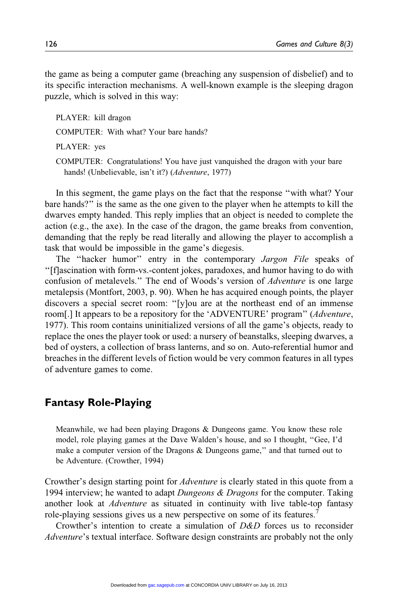the game as being a computer game (breaching any suspension of disbelief) and to its specific interaction mechanisms. A well-known example is the sleeping dragon puzzle, which is solved in this way:

PLAYER: kill dragon

COMPUTER: With what? Your bare hands?

PLAYER: yes

COMPUTER: Congratulations! You have just vanquished the dragon with your bare hands! (Unbelievable, isn't it?) (Adventure, 1977)

In this segment, the game plays on the fact that the response ''with what? Your bare hands?'' is the same as the one given to the player when he attempts to kill the dwarves empty handed. This reply implies that an object is needed to complete the action (e.g., the axe). In the case of the dragon, the game breaks from convention, demanding that the reply be read literally and allowing the player to accomplish a task that would be impossible in the game's diegesis.

The "hacker humor" entry in the contemporary Jargon File speaks of ''[f]ascination with form-vs.-content jokes, paradoxes, and humor having to do with confusion of metalevels.'' The end of Woods's version of Adventure is one large metalepsis (Montfort, 2003, p. 90). When he has acquired enough points, the player discovers a special secret room: ''[y]ou are at the northeast end of an immense room[.] It appears to be a repository for the 'ADVENTURE' program" (Adventure, 1977). This room contains uninitialized versions of all the game's objects, ready to replace the ones the player took or used: a nursery of beanstalks, sleeping dwarves, a bed of oysters, a collection of brass lanterns, and so on. Auto-referential humor and breaches in the different levels of fiction would be very common features in all types of adventure games to come.

## Fantasy Role-Playing

Meanwhile, we had been playing Dragons & Dungeons game. You know these role model, role playing games at the Dave Walden's house, and so I thought, ''Gee, I'd make a computer version of the Dragons  $\&$  Dungeons game," and that turned out to be Adventure. (Crowther, 1994)

Crowther's design starting point for Adventure is clearly stated in this quote from a 1994 interview; he wanted to adapt Dungeons & Dragons for the computer. Taking another look at Adventure as situated in continuity with live table-top fantasy role-playing sessions gives us a new perspective on some of its features.<sup>7</sup>

Crowther's intention to create a simulation of D&D forces us to reconsider Adventure's textual interface. Software design constraints are probably not the only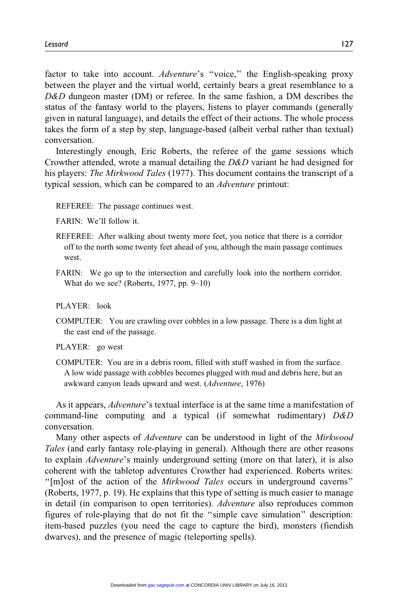factor to take into account. Adventure's "voice," the English-speaking proxy between the player and the virtual world, certainly bears a great resemblance to a  $D&D$  dungeon master (DM) or referee. In the same fashion, a DM describes the status of the fantasy world to the players, listens to player commands (generally given in natural language), and details the effect of their actions. The whole process takes the form of a step by step, language-based (albeit verbal rather than textual) conversation.

Interestingly enough, Eric Roberts, the referee of the game sessions which Crowther attended, wrote a manual detailing the D&D variant he had designed for his players: *The Mirkwood Tales* (1977). This document contains the transcript of a typical session, which can be compared to an Adventure printout:

REFEREE: The passage continues west.

FARIN: We'll follow it.

- REFEREE: After walking about twenty more feet, you notice that there is a corridor off to the north some twenty feet ahead of you, although the main passage continues west.
- FARIN: We go up to the intersection and carefully look into the northern corridor. What do we see? (Roberts, 1977, pp. 9–10)

PLAYER: look

COMPUTER: You are crawling over cobbles in a low passage. There is a dim light at the east end of the passage.

PLAYER: go west

COMPUTER: You are in a debris room, filled with stuff washed in from the surface. A low wide passage with cobbles becomes plugged with mud and debris here, but an awkward canyon leads upward and west. (Adventure, 1976)

As it appears, Adventure's textual interface is at the same time a manifestation of command-line computing and a typical (if somewhat rudimentary) D&D conversation.

Many other aspects of *Adventure* can be understood in light of the *Mirkwood* Tales (and early fantasy role-playing in general). Although there are other reasons to explain *Adventure's* mainly underground setting (more on that later), it is also coherent with the tabletop adventures Crowther had experienced. Roberts writes: ''[m]ost of the action of the Mirkwood Tales occurs in underground caverns'' (Roberts, 1977, p. 19). He explains that this type of setting is much easier to manage in detail (in comparison to open territories). Adventure also reproduces common figures of role-playing that do not fit the ''simple cave simulation'' description: item-based puzzles (you need the cage to capture the bird), monsters (fiendish dwarves), and the presence of magic (teleporting spells).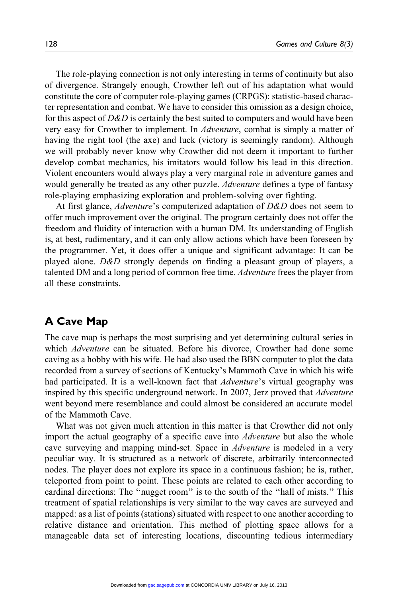The role-playing connection is not only interesting in terms of continuity but also of divergence. Strangely enough, Crowther left out of his adaptation what would constitute the core of computer role-playing games (CRPGS): statistic-based character representation and combat. We have to consider this omission as a design choice, for this aspect of  $D\&D$  is certainly the best suited to computers and would have been very easy for Crowther to implement. In Adventure, combat is simply a matter of having the right tool (the axe) and luck (victory is seemingly random). Although we will probably never know why Crowther did not deem it important to further develop combat mechanics, his imitators would follow his lead in this direction. Violent encounters would always play a very marginal role in adventure games and would generally be treated as any other puzzle. Adventure defines a type of fantasy role-playing emphasizing exploration and problem-solving over fighting.

At first glance, *Adventure's* computerized adaptation of  $D&D$  does not seem to offer much improvement over the original. The program certainly does not offer the freedom and fluidity of interaction with a human DM. Its understanding of English is, at best, rudimentary, and it can only allow actions which have been foreseen by the programmer. Yet, it does offer a unique and significant advantage: It can be played alone. D&D strongly depends on finding a pleasant group of players, a talented DM and a long period of common free time. Adventure frees the player from all these constraints.

# A Cave Map

The cave map is perhaps the most surprising and yet determining cultural series in which *Adventure* can be situated. Before his divorce, Crowther had done some caving as a hobby with his wife. He had also used the BBN computer to plot the data recorded from a survey of sections of Kentucky's Mammoth Cave in which his wife had participated. It is a well-known fact that *Adventure's* virtual geography was inspired by this specific underground network. In 2007, Jerz proved that Adventure went beyond mere resemblance and could almost be considered an accurate model of the Mammoth Cave.

What was not given much attention in this matter is that Crowther did not only import the actual geography of a specific cave into *Adventure* but also the whole cave surveying and mapping mind-set. Space in *Adventure* is modeled in a very peculiar way. It is structured as a network of discrete, arbitrarily interconnected nodes. The player does not explore its space in a continuous fashion; he is, rather, teleported from point to point. These points are related to each other according to cardinal directions: The ''nugget room'' is to the south of the ''hall of mists.'' This treatment of spatial relationships is very similar to the way caves are surveyed and mapped: as a list of points (stations) situated with respect to one another according to relative distance and orientation. This method of plotting space allows for a manageable data set of interesting locations, discounting tedious intermediary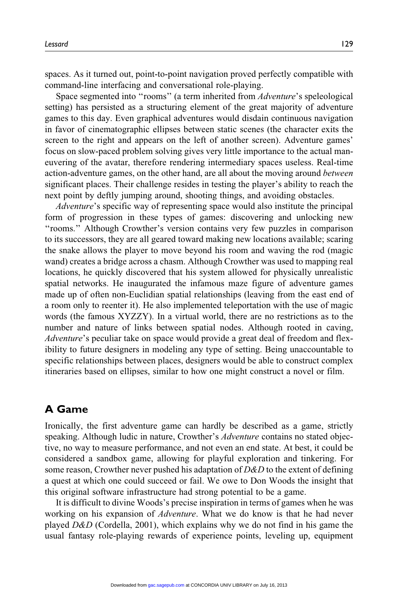spaces. As it turned out, point-to-point navigation proved perfectly compatible with command-line interfacing and conversational role-playing.

Space segmented into ''rooms'' (a term inherited from Adventure's speleological setting) has persisted as a structuring element of the great majority of adventure games to this day. Even graphical adventures would disdain continuous navigation in favor of cinematographic ellipses between static scenes (the character exits the screen to the right and appears on the left of another screen). Adventure games' focus on slow-paced problem solving gives very little importance to the actual maneuvering of the avatar, therefore rendering intermediary spaces useless. Real-time action-adventure games, on the other hand, are all about the moving around between significant places. Their challenge resides in testing the player's ability to reach the next point by deftly jumping around, shooting things, and avoiding obstacles.

Adventure's specific way of representing space would also institute the principal form of progression in these types of games: discovering and unlocking new ''rooms.'' Although Crowther's version contains very few puzzles in comparison to its successors, they are all geared toward making new locations available; scaring the snake allows the player to move beyond his room and waving the rod (magic wand) creates a bridge across a chasm. Although Crowther was used to mapping real locations, he quickly discovered that his system allowed for physically unrealistic spatial networks. He inaugurated the infamous maze figure of adventure games made up of often non-Euclidian spatial relationships (leaving from the east end of a room only to reenter it). He also implemented teleportation with the use of magic words (the famous XYZZY). In a virtual world, there are no restrictions as to the number and nature of links between spatial nodes. Although rooted in caving, Adventure's peculiar take on space would provide a great deal of freedom and flexibility to future designers in modeling any type of setting. Being unaccountable to specific relationships between places, designers would be able to construct complex itineraries based on ellipses, similar to how one might construct a novel or film.

## A Game

Ironically, the first adventure game can hardly be described as a game, strictly speaking. Although ludic in nature, Crowther's *Adventure* contains no stated objective, no way to measure performance, and not even an end state. At best, it could be considered a sandbox game, allowing for playful exploration and tinkering. For some reason, Crowther never pushed his adaptation of  $D\&D$  to the extent of defining a quest at which one could succeed or fail. We owe to Don Woods the insight that this original software infrastructure had strong potential to be a game.

It is difficult to divine Woods's precise inspiration in terms of games when he was working on his expansion of *Adventure*. What we do know is that he had never played  $D&D$  (Cordella, 2001), which explains why we do not find in his game the usual fantasy role-playing rewards of experience points, leveling up, equipment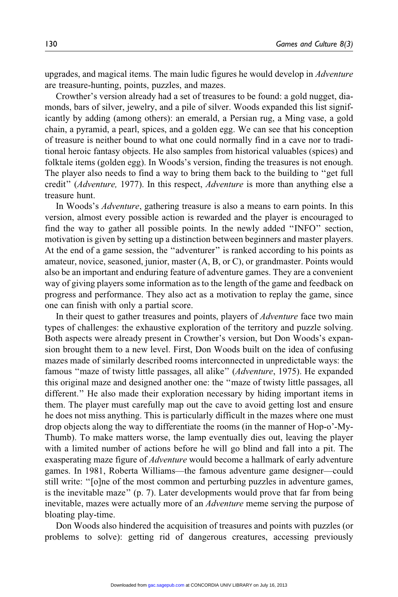upgrades, and magical items. The main ludic figures he would develop in Adventure are treasure-hunting, points, puzzles, and mazes.

Crowther's version already had a set of treasures to be found: a gold nugget, diamonds, bars of silver, jewelry, and a pile of silver. Woods expanded this list significantly by adding (among others): an emerald, a Persian rug, a Ming vase, a gold chain, a pyramid, a pearl, spices, and a golden egg. We can see that his conception of treasure is neither bound to what one could normally find in a cave nor to traditional heroic fantasy objects. He also samples from historical valuables (spices) and folktale items (golden egg). In Woods's version, finding the treasures is not enough. The player also needs to find a way to bring them back to the building to ''get full credit'' (Adventure, 1977). In this respect, Adventure is more than anything else a treasure hunt.

In Woods's *Adventure*, gathering treasure is also a means to earn points. In this version, almost every possible action is rewarded and the player is encouraged to find the way to gather all possible points. In the newly added ''INFO'' section, motivation is given by setting up a distinction between beginners and master players. At the end of a game session, the ''adventurer'' is ranked according to his points as amateur, novice, seasoned, junior, master (A, B, or C), or grandmaster. Points would also be an important and enduring feature of adventure games. They are a convenient way of giving players some information as to the length of the game and feedback on progress and performance. They also act as a motivation to replay the game, since one can finish with only a partial score.

In their quest to gather treasures and points, players of *Adventure* face two main types of challenges: the exhaustive exploration of the territory and puzzle solving. Both aspects were already present in Crowther's version, but Don Woods's expansion brought them to a new level. First, Don Woods built on the idea of confusing mazes made of similarly described rooms interconnected in unpredictable ways: the famous "maze of twisty little passages, all alike" (Adventure, 1975). He expanded this original maze and designed another one: the ''maze of twisty little passages, all different.'' He also made their exploration necessary by hiding important items in them. The player must carefully map out the cave to avoid getting lost and ensure he does not miss anything. This is particularly difficult in the mazes where one must drop objects along the way to differentiate the rooms (in the manner of Hop-o'-My-Thumb). To make matters worse, the lamp eventually dies out, leaving the player with a limited number of actions before he will go blind and fall into a pit. The exasperating maze figure of *Adventure* would become a hallmark of early adventure games. In 1981, Roberta Williams—the famous adventure game designer—could still write: ''[o]ne of the most common and perturbing puzzles in adventure games, is the inevitable maze'' (p. 7). Later developments would prove that far from being inevitable, mazes were actually more of an *Adventure* meme serving the purpose of bloating play-time.

Don Woods also hindered the acquisition of treasures and points with puzzles (or problems to solve): getting rid of dangerous creatures, accessing previously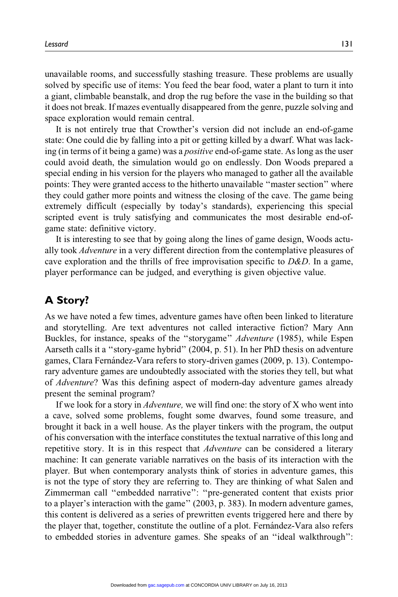unavailable rooms, and successfully stashing treasure. These problems are usually solved by specific use of items: You feed the bear food, water a plant to turn it into a giant, climbable beanstalk, and drop the rug before the vase in the building so that it does not break. If mazes eventually disappeared from the genre, puzzle solving and space exploration would remain central.

It is not entirely true that Crowther's version did not include an end-of-game state: One could die by falling into a pit or getting killed by a dwarf. What was lacking (in terms of it being a game) was a positive end-of-game state. As long as the user could avoid death, the simulation would go on endlessly. Don Woods prepared a special ending in his version for the players who managed to gather all the available points: They were granted access to the hitherto unavailable ''master section'' where they could gather more points and witness the closing of the cave. The game being extremely difficult (especially by today's standards), experiencing this special scripted event is truly satisfying and communicates the most desirable end-ofgame state: definitive victory.

It is interesting to see that by going along the lines of game design, Woods actually took Adventure in a very different direction from the contemplative pleasures of cave exploration and the thrills of free improvisation specific to  $D&D$ . In a game, player performance can be judged, and everything is given objective value.

## A Story?

As we have noted a few times, adventure games have often been linked to literature and storytelling. Are text adventures not called interactive fiction? Mary Ann Buckles, for instance, speaks of the "storygame" *Adventure* (1985), while Espen Aarseth calls it a ''story-game hybrid'' (2004, p. 51). In her PhD thesis on adventure games, Clara Fernández-Vara refers to story-driven games (2009, p. 13). Contemporary adventure games are undoubtedly associated with the stories they tell, but what of Adventure? Was this defining aspect of modern-day adventure games already present the seminal program?

If we look for a story in *Adventure*, we will find one: the story of  $X$  who went into a cave, solved some problems, fought some dwarves, found some treasure, and brought it back in a well house. As the player tinkers with the program, the output of his conversation with the interface constitutes the textual narrative of this long and repetitive story. It is in this respect that *Adventure* can be considered a literary machine: It can generate variable narratives on the basis of its interaction with the player. But when contemporary analysts think of stories in adventure games, this is not the type of story they are referring to. They are thinking of what Salen and Zimmerman call ''embedded narrative'': ''pre-generated content that exists prior to a player's interaction with the game'' (2003, p. 383). In modern adventure games, this content is delivered as a series of prewritten events triggered here and there by the player that, together, constitute the outline of a plot. Fernandez-Vara also refers to embedded stories in adventure games. She speaks of an ''ideal walkthrough'':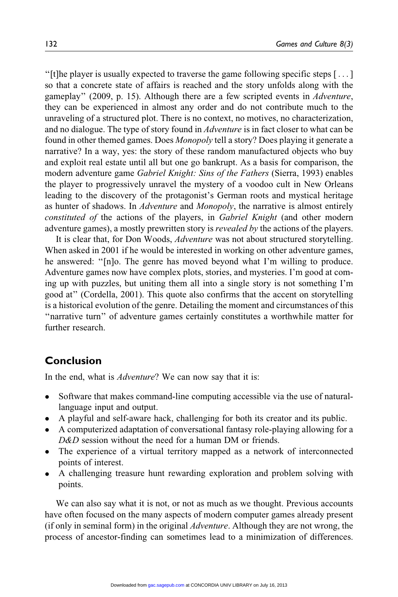$\lq$ [t]he player is usually expected to traverse the game following specific steps [...] so that a concrete state of affairs is reached and the story unfolds along with the gameplay'' (2009, p. 15). Although there are a few scripted events in Adventure, they can be experienced in almost any order and do not contribute much to the unraveling of a structured plot. There is no context, no motives, no characterization, and no dialogue. The type of story found in *Adventure* is in fact closer to what can be found in other themed games. Does Monopoly tell a story? Does playing it generate a narrative? In a way, yes: the story of these random manufactured objects who buy and exploit real estate until all but one go bankrupt. As a basis for comparison, the modern adventure game Gabriel Knight: Sins of the Fathers (Sierra, 1993) enables the player to progressively unravel the mystery of a voodoo cult in New Orleans leading to the discovery of the protagonist's German roots and mystical heritage as hunter of shadows. In Adventure and Monopoly, the narrative is almost entirely constituted of the actions of the players, in Gabriel Knight (and other modern adventure games), a mostly prewritten story is *revealed by* the actions of the players.

It is clear that, for Don Woods, Adventure was not about structured storytelling. When asked in 2001 if he would be interested in working on other adventure games, he answered: ''[n]o. The genre has moved beyond what I'm willing to produce. Adventure games now have complex plots, stories, and mysteries. I'm good at coming up with puzzles, but uniting them all into a single story is not something I'm good at'' (Cordella, 2001). This quote also confirms that the accent on storytelling is a historical evolution of the genre. Detailing the moment and circumstances of this ''narrative turn'' of adventure games certainly constitutes a worthwhile matter for further research.

## Conclusion

In the end, what is *Adventure*? We can now say that it is:

- $\bullet$  Software that makes command-line computing accessible via the use of naturallanguage input and output.
- A playful and self-aware hack, challenging for both its creator and its public.
- A computerized adaptation of conversational fantasy role-playing allowing for a D&D session without the need for a human DM or friends.
- The experience of a virtual territory mapped as a network of interconnected points of interest.
- $\bullet$  A challenging treasure hunt rewarding exploration and problem solving with points.

We can also say what it is not, or not as much as we thought. Previous accounts have often focused on the many aspects of modern computer games already present (if only in seminal form) in the original Adventure. Although they are not wrong, the process of ancestor-finding can sometimes lead to a minimization of differences.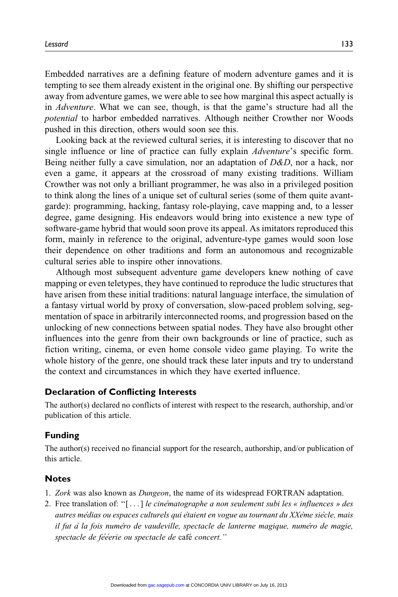Embedded narratives are a defining feature of modern adventure games and it is tempting to see them already existent in the original one. By shifting our perspective away from adventure games, we were able to see how marginal this aspect actually is in Adventure. What we can see, though, is that the game's structure had all the potential to harbor embedded narratives. Although neither Crowther nor Woods pushed in this direction, others would soon see this.

Looking back at the reviewed cultural series, it is interesting to discover that no single influence or line of practice can fully explain Adventure's specific form. Being neither fully a cave simulation, nor an adaptation of  $D&D$ , nor a hack, nor even a game, it appears at the crossroad of many existing traditions. William Crowther was not only a brilliant programmer, he was also in a privileged position to think along the lines of a unique set of cultural series (some of them quite avantgarde): programming, hacking, fantasy role-playing, cave mapping and, to a lesser degree, game designing. His endeavors would bring into existence a new type of software-game hybrid that would soon prove its appeal. As imitators reproduced this form, mainly in reference to the original, adventure-type games would soon lose their dependence on other traditions and form an autonomous and recognizable cultural series able to inspire other innovations.

Although most subsequent adventure game developers knew nothing of cave mapping or even teletypes, they have continued to reproduce the ludic structures that have arisen from these initial traditions: natural language interface, the simulation of a fantasy virtual world by proxy of conversation, slow-paced problem solving, segmentation of space in arbitrarily interconnected rooms, and progression based on the unlocking of new connections between spatial nodes. They have also brought other influences into the genre from their own backgrounds or line of practice, such as fiction writing, cinema, or even home console video game playing. To write the whole history of the genre, one should track these later inputs and try to understand the context and circumstances in which they have exerted influence.

#### Declaration of Conflicting Interests

The author(s) declared no conflicts of interest with respect to the research, authorship, and/or publication of this article.

#### Funding

The author(s) received no financial support for the research, authorship, and/or publication of this article.

#### **Notes**

- 1. Zork was also known as Dungeon, the name of its widespread FORTRAN adaptation.
- 2. Free translation of: "[ $\dots$ ] le cine $\mathit{matographic}$  a non seulement subi les « influences » des autres médias ou espaces culturels qui étaient en vogue au tournant du XXème siècle, mais il fut à la fois numéro de vaudeville, spectacle de lanterne magique, numéro de magie, spectacle de fééerie ou spectacle de café concert.''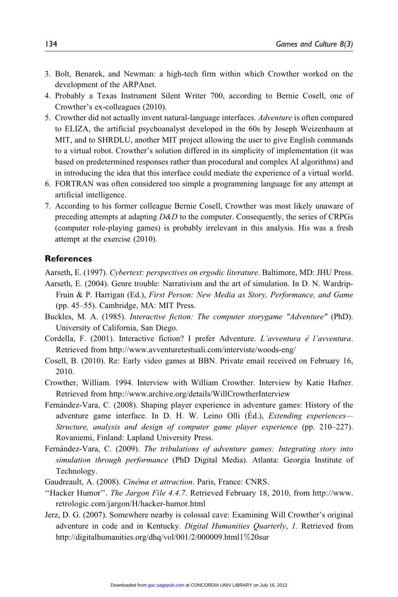- 3. Bolt, Benarek, and Newman: a high-tech firm within which Crowther worked on the development of the ARPAnet.
- 4. Probably a Texas Instrument Silent Writer 700, according to Bernie Cosell, one of Crowther's ex-colleagues (2010).
- 5. Crowther did not actually invent natural-language interfaces. Adventure is often compared to ELIZA, the artificial psychoanalyst developed in the 60s by Joseph Weizenbaum at MIT, and to SHRDLU, another MIT project allowing the user to give English commands to a virtual robot. Crowther's solution differed in its simplicity of implementation (it was based on predetermined responses rather than procedural and complex AI algorithms) and in introducing the idea that this interface could mediate the experience of a virtual world.
- 6. FORTRAN was often considered too simple a programming language for any attempt at artificial intelligence.
- 7. According to his former colleague Bernie Cosell, Crowther was most likely unaware of preceding attempts at adapting D&D to the computer. Consequently, the series of CRPGs (computer role-playing games) is probably irrelevant in this analysis. His was a fresh attempt at the exercise (2010).

#### References

Aarseth, E. (1997). Cybertext: perspectives on ergodic literature. Baltimore, MD: JHU Press.

- Aarseth, E. (2004). Genre trouble: Narrativism and the art of simulation. In D. N. Wardrip-Fruin & P. Harrigan (Ed.), First Person: New Media as Story, Performance, and Game (pp. 45–55). Cambridge, MA: MIT Press.
- Buckles, M. A. (1985). Interactive fiction: The computer storygame "Adventure" (PhD). University of California, San Diego.
- Cordella, F. (2001). Interactive fiction? I prefer Adventure. L'avventura è l'avventura. Retrieved from<http://www.avventuretestuali.com/interviste/woods-eng/>
- Cosell, B. (2010). Re: Early video games at BBN. Private email received on February 16, 2010.
- Crowther, William. 1994. Interview with William Crowther. Interview by Katie Hafner. Retrieved from<http://www.archive.org/details/WillCrowtherInterview>
- Fernández-Vara, C. (2008). Shaping player experience in adventure games: History of the adventure game interface. In D. H. W. Leino Olli (Éd.), Extending experiences-Structure, analysis and design of computer game player experience (pp. 210–227). Rovaniemi, Finland: Lapland University Press.
- Fernández-Vara, C. (2009). The tribulations of adventure games: Integrating story into simulation through performance (PhD Digital Media). Atlanta: Georgia Institute of Technology.
- Gaudreault, A. (2008). Cinema et attraction. Paris, France: CNRS.
- ''Hacker Humor''. The Jargon File 4.4.7. Retrieved February 18, 2010, from [http://www.](http://www.retrologic.com/jargon/H/hacker-humor.html) [retrologic.com/jargon/H/hacker-humor.html](http://www.retrologic.com/jargon/H/hacker-humor.html)
- Jerz, D. G. (2007). Somewhere nearby is colossal cave: Examining Will Crowther's original adventure in code and in Kentucky. Digital Humanities Quarterly, 1. Retrieved from [http://digitalhumanities.org/dhq/vol/001/2/000009.html1](http://digitalhumanities.org/dhq/vol/001/2/000009.html1%20sur)%[20sur](http://digitalhumanities.org/dhq/vol/001/2/000009.html1%20sur)